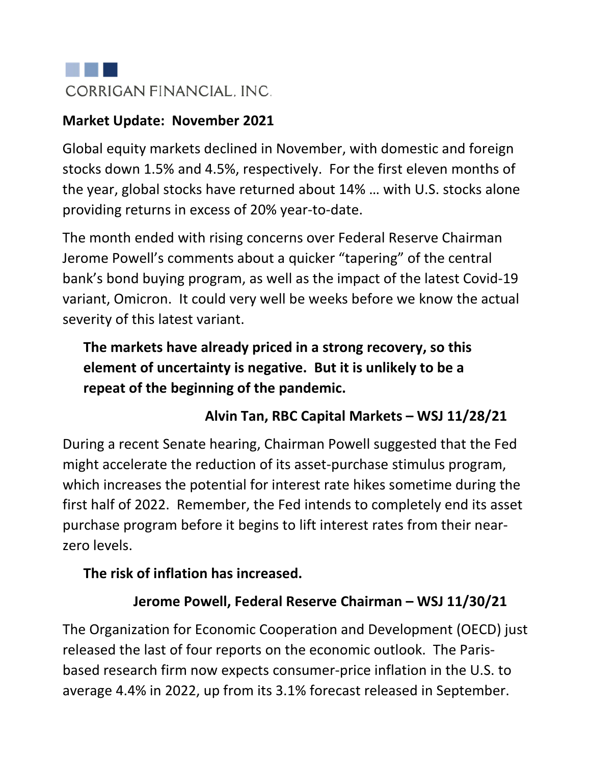

#### **Market Update: November 2021**

Global equity markets declined in November, with domestic and foreign stocks down 1.5% and 4.5%, respectively. For the first eleven months of the year, global stocks have returned about 14% … with U.S. stocks alone providing returns in excess of 20% year-to-date.

The month ended with rising concerns over Federal Reserve Chairman Jerome Powell's comments about a quicker "tapering" of the central bank's bond buying program, as well as the impact of the latest Covid-19 variant, Omicron. It could very well be weeks before we know the actual severity of this latest variant.

# **The markets have already priced in a strong recovery, so this element of uncertainty is negative. But it is unlikely to be a repeat of the beginning of the pandemic.**

#### **Alvin Tan, RBC Capital Markets – WSJ 11/28/21**

During a recent Senate hearing, Chairman Powell suggested that the Fed might accelerate the reduction of its asset-purchase stimulus program, which increases the potential for interest rate hikes sometime during the first half of 2022. Remember, the Fed intends to completely end its asset purchase program before it begins to lift interest rates from their nearzero levels.

#### **The risk of inflation has increased.**

#### **Jerome Powell, Federal Reserve Chairman – WSJ 11/30/21**

The Organization for Economic Cooperation and Development (OECD) just released the last of four reports on the economic outlook. The Parisbased research firm now expects consumer-price inflation in the U.S. to average 4.4% in 2022, up from its 3.1% forecast released in September.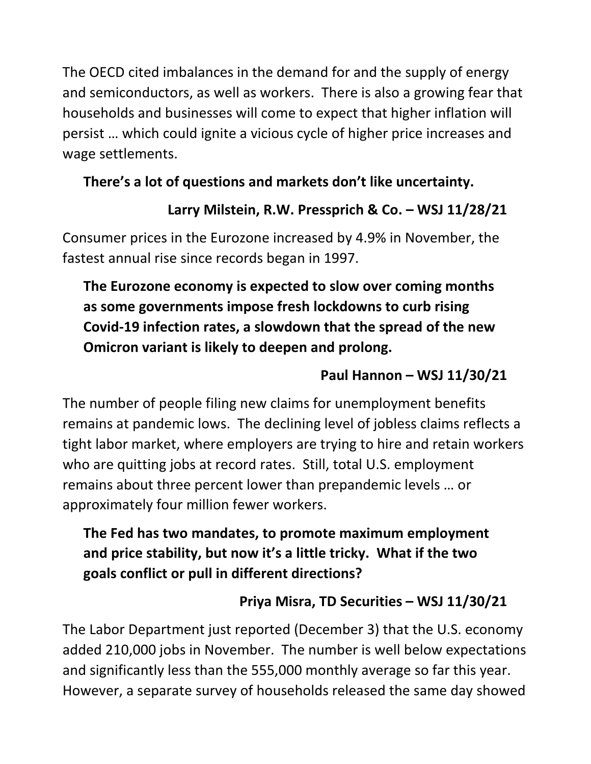The OECD cited imbalances in the demand for and the supply of energy and semiconductors, as well as workers. There is also a growing fear that households and businesses will come to expect that higher inflation will persist … which could ignite a vicious cycle of higher price increases and wage settlements.

#### **There's a lot of questions and markets don't like uncertainty.**

### **Larry Milstein, R.W. Pressprich & Co. – WSJ 11/28/21**

Consumer prices in the Eurozone increased by 4.9% in November, the fastest annual rise since records began in 1997.

# **The Eurozone economy is expected to slow over coming months as some governments impose fresh lockdowns to curb rising Covid-19 infection rates, a slowdown that the spread of the new Omicron variant is likely to deepen and prolong.**

### **Paul Hannon – WSJ 11/30/21**

The number of people filing new claims for unemployment benefits remains at pandemic lows. The declining level of jobless claims reflects a tight labor market, where employers are trying to hire and retain workers who are quitting jobs at record rates. Still, total U.S. employment remains about three percent lower than prepandemic levels … or approximately four million fewer workers.

### **The Fed has two mandates, to promote maximum employment and price stability, but now it's a little tricky. What if the two goals conflict or pull in different directions?**

# **Priya Misra, TD Securities – WSJ 11/30/21**

The Labor Department just reported (December 3) that the U.S. economy added 210,000 jobs in November. The number is well below expectations and significantly less than the 555,000 monthly average so far this year. However, a separate survey of households released the same day showed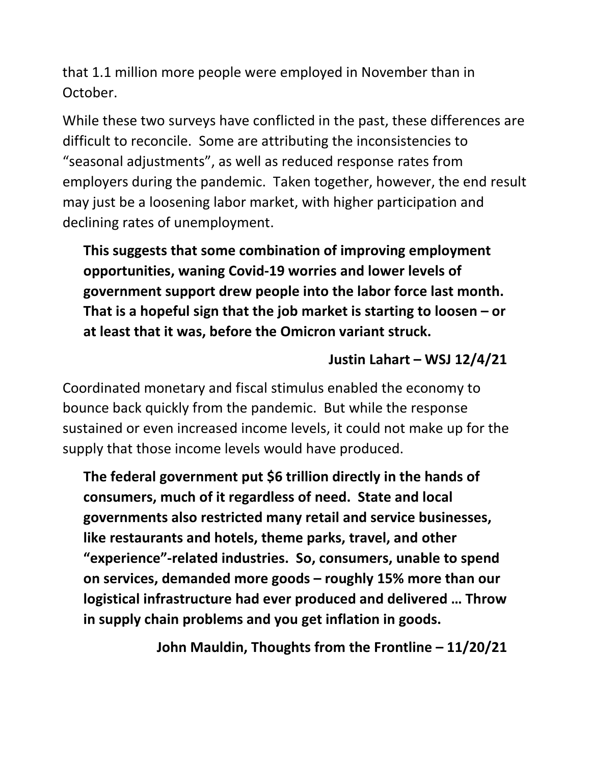that 1.1 million more people were employed in November than in October.

While these two surveys have conflicted in the past, these differences are difficult to reconcile. Some are attributing the inconsistencies to "seasonal adjustments", as well as reduced response rates from employers during the pandemic. Taken together, however, the end result may just be a loosening labor market, with higher participation and declining rates of unemployment.

**This suggests that some combination of improving employment opportunities, waning Covid-19 worries and lower levels of government support drew people into the labor force last month. That is a hopeful sign that the job market is starting to loosen – or at least that it was, before the Omicron variant struck.**

#### **Justin Lahart – WSJ 12/4/21**

Coordinated monetary and fiscal stimulus enabled the economy to bounce back quickly from the pandemic. But while the response sustained or even increased income levels, it could not make up for the supply that those income levels would have produced.

**The federal government put \$6 trillion directly in the hands of consumers, much of it regardless of need. State and local governments also restricted many retail and service businesses, like restaurants and hotels, theme parks, travel, and other "experience"-related industries. So, consumers, unable to spend on services, demanded more goods – roughly 15% more than our logistical infrastructure had ever produced and delivered … Throw in supply chain problems and you get inflation in goods.** 

**John Mauldin, Thoughts from the Frontline – 11/20/21**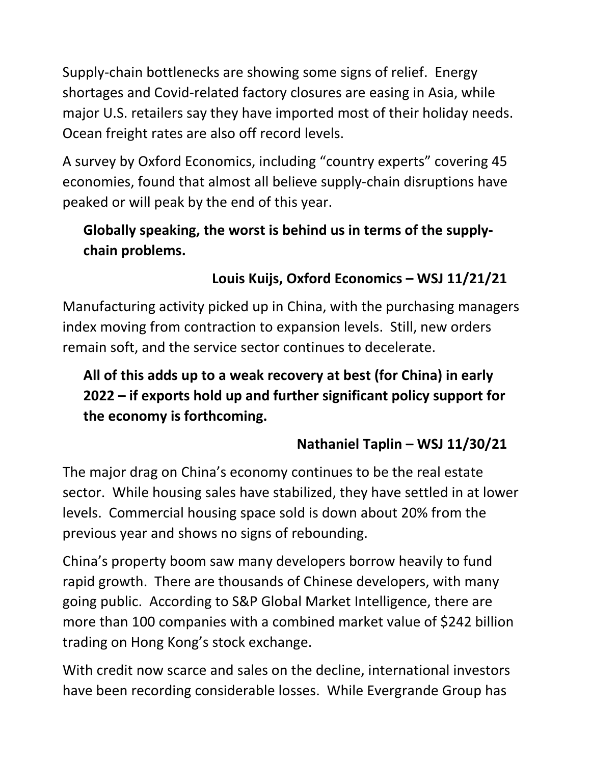Supply-chain bottlenecks are showing some signs of relief. Energy shortages and Covid-related factory closures are easing in Asia, while major U.S. retailers say they have imported most of their holiday needs. Ocean freight rates are also off record levels.

A survey by Oxford Economics, including "country experts" covering 45 economies, found that almost all believe supply-chain disruptions have peaked or will peak by the end of this year.

# **Globally speaking, the worst is behind us in terms of the supplychain problems.**

# **Louis Kuijs, Oxford Economics – WSJ 11/21/21**

Manufacturing activity picked up in China, with the purchasing managers index moving from contraction to expansion levels. Still, new orders remain soft, and the service sector continues to decelerate.

**All of this adds up to a weak recovery at best (for China) in early 2022 – if exports hold up and further significant policy support for the economy is forthcoming.**

#### **Nathaniel Taplin – WSJ 11/30/21**

The major drag on China's economy continues to be the real estate sector. While housing sales have stabilized, they have settled in at lower levels. Commercial housing space sold is down about 20% from the previous year and shows no signs of rebounding.

China's property boom saw many developers borrow heavily to fund rapid growth. There are thousands of Chinese developers, with many going public. According to S&P Global Market Intelligence, there are more than 100 companies with a combined market value of \$242 billion trading on Hong Kong's stock exchange.

With credit now scarce and sales on the decline, international investors have been recording considerable losses. While Evergrande Group has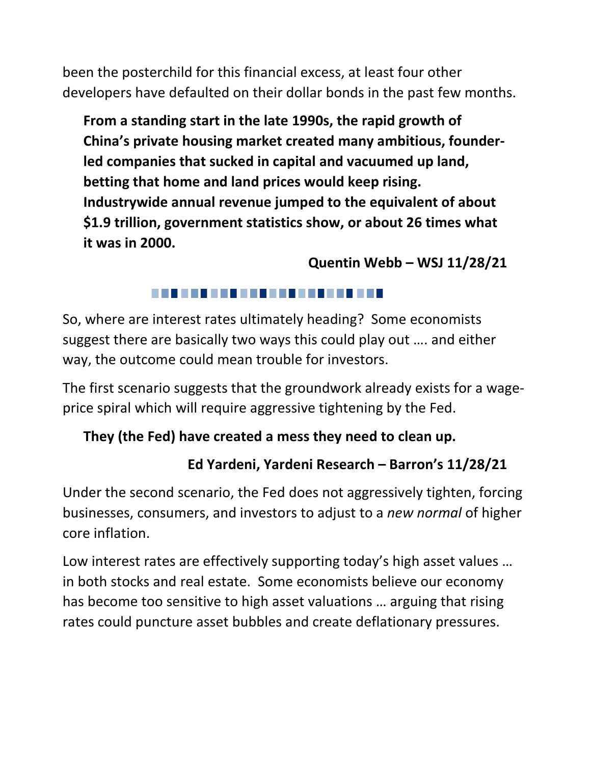been the posterchild for this financial excess, at least four other developers have defaulted on their dollar bonds in the past few months.

**From a standing start in the late 1990s, the rapid growth of China's private housing market created many ambitious, founderled companies that sucked in capital and vacuumed up land, betting that home and land prices would keep rising. Industrywide annual revenue jumped to the equivalent of about \$1.9 trillion, government statistics show, or about 26 times what it was in 2000.**

#### **Quentin Webb – WSJ 11/28/21**

#### 

So, where are interest rates ultimately heading? Some economists suggest there are basically two ways this could play out …. and either way, the outcome could mean trouble for investors.

The first scenario suggests that the groundwork already exists for a wageprice spiral which will require aggressive tightening by the Fed.

# **They (the Fed) have created a mess they need to clean up.**

# **Ed Yardeni, Yardeni Research – Barron's 11/28/21**

Under the second scenario, the Fed does not aggressively tighten, forcing businesses, consumers, and investors to adjust to a *new normal* of higher core inflation.

Low interest rates are effectively supporting today's high asset values … in both stocks and real estate. Some economists believe our economy has become too sensitive to high asset valuations … arguing that rising rates could puncture asset bubbles and create deflationary pressures.